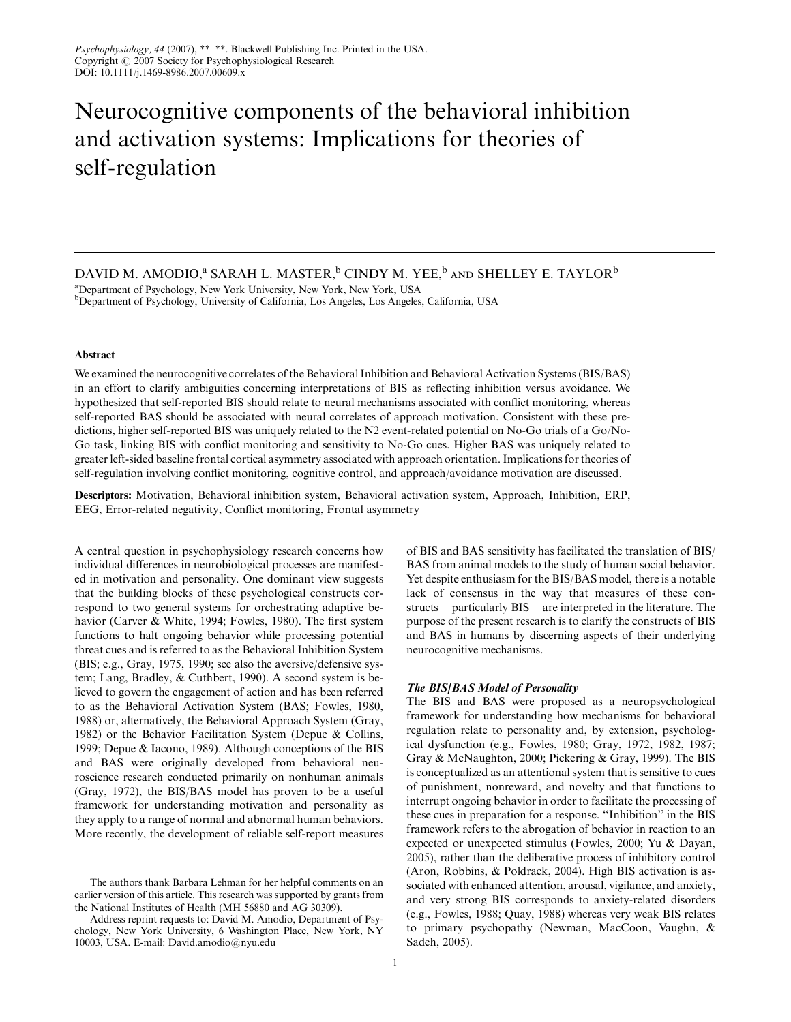# Neurocognitive components of the behavioral inhibition and activation systems: Implications for theories of self-regulation

# DAVID M. AMODIO,<sup>a</sup> SARAH L. MASTER,<sup>b</sup> CINDY M. YEE,<sup>b</sup> and SHELLEY E. TAYLOR<sup>b</sup>

a Department of Psychology, New York University, New York, New York, USA b Department of Psychology, University of California, Los Angeles, Los Angeles, California, USA

# Abstract

We examined the neurocognitive correlates of the Behavioral Inhibition and Behavioral Activation Systems (BIS/BAS) in an effort to clarify ambiguities concerning interpretations of BIS as reflecting inhibition versus avoidance. We hypothesized that self-reported BIS should relate to neural mechanisms associated with conflict monitoring, whereas self-reported BAS should be associated with neural correlates of approach motivation. Consistent with these predictions, higher self-reported BIS was uniquely related to the N2 event-related potential on No-Go trials of a Go/No-Go task, linking BIS with conflict monitoring and sensitivity to No-Go cues. Higher BAS was uniquely related to greater left-sided baseline frontal cortical asymmetry associated with approach orientation. Implications for theories of self-regulation involving conflict monitoring, cognitive control, and approach/avoidance motivation are discussed.

Descriptors: Motivation, Behavioral inhibition system, Behavioral activation system, Approach, Inhibition, ERP, EEG, Error-related negativity, Conflict monitoring, Frontal asymmetry

A central question in psychophysiology research concerns how individual differences in neurobiological processes are manifested in motivation and personality. One dominant view suggests that the building blocks of these psychological constructs correspond to two general systems for orchestrating adaptive behavior (Carver & White, 1994; Fowles, 1980). The first system functions to halt ongoing behavior while processing potential threat cues and is referred to as the Behavioral Inhibition System (BIS; e.g., Gray, 1975, 1990; see also the aversive/defensive system; Lang, Bradley, & Cuthbert, 1990). A second system is believed to govern the engagement of action and has been referred to as the Behavioral Activation System (BAS; Fowles, 1980, 1988) or, alternatively, the Behavioral Approach System (Gray, 1982) or the Behavior Facilitation System (Depue & Collins, 1999; Depue & Iacono, 1989). Although conceptions of the BIS and BAS were originally developed from behavioral neuroscience research conducted primarily on nonhuman animals (Gray, 1972), the BIS/BAS model has proven to be a useful framework for understanding motivation and personality as they apply to a range of normal and abnormal human behaviors. More recently, the development of reliable self-report measures of BIS and BAS sensitivity has facilitated the translation of BIS/ BAS from animal models to the study of human social behavior. Yet despite enthusiasm for the BIS/BAS model, there is a notable lack of consensus in the way that measures of these constructs—particularly BIS—are interpreted in the literature. The purpose of the present research is to clarify the constructs of BIS and BAS in humans by discerning aspects of their underlying neurocognitive mechanisms.

# The BIS/BAS Model of Personality

The BIS and BAS were proposed as a neuropsychological framework for understanding how mechanisms for behavioral regulation relate to personality and, by extension, psychological dysfunction (e.g., Fowles, 1980; Gray, 1972, 1982, 1987; Gray & McNaughton, 2000; Pickering & Gray, 1999). The BIS is conceptualized as an attentional system that is sensitive to cues of punishment, nonreward, and novelty and that functions to interrupt ongoing behavior in order to facilitate the processing of these cues in preparation for a response. ''Inhibition'' in the BIS framework refers to the abrogation of behavior in reaction to an expected or unexpected stimulus (Fowles, 2000; Yu & Dayan, 2005), rather than the deliberative process of inhibitory control (Aron, Robbins, & Poldrack, 2004). High BIS activation is associated with enhanced attention, arousal, vigilance, and anxiety, and very strong BIS corresponds to anxiety-related disorders (e.g., Fowles, 1988; Quay, 1988) whereas very weak BIS relates to primary psychopathy (Newman, MacCoon, Vaughn, & Sadeh, 2005).

The authors thank Barbara Lehman for her helpful comments on an earlier version of this article. This research was supported by grants from the National Institutes of Health (MH 56880 and AG 30309).

Address reprint requests to: David M. Amodio, Department of Psychology, New York University, 6 Washington Place, New York, NY 10003, USA. E-mail: David.amodio@nyu.edu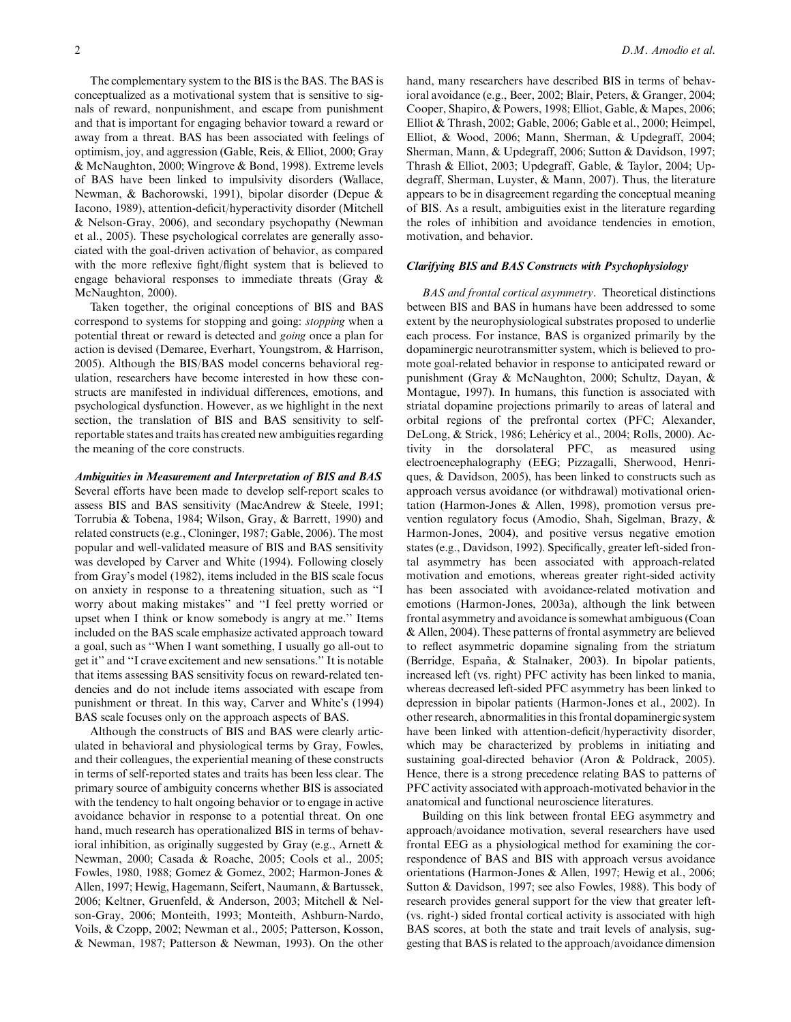The complementary system to the BIS is the BAS. The BAS is conceptualized as a motivational system that is sensitive to signals of reward, nonpunishment, and escape from punishment and that is important for engaging behavior toward a reward or away from a threat. BAS has been associated with feelings of optimism, joy, and aggression (Gable, Reis, & Elliot, 2000; Gray & McNaughton, 2000; Wingrove & Bond, 1998). Extreme levels of BAS have been linked to impulsivity disorders (Wallace, Newman, & Bachorowski, 1991), bipolar disorder (Depue & Iacono, 1989), attention-deficit/hyperactivity disorder (Mitchell & Nelson-Gray, 2006), and secondary psychopathy (Newman et al., 2005). These psychological correlates are generally associated with the goal-driven activation of behavior, as compared with the more reflexive fight/flight system that is believed to engage behavioral responses to immediate threats (Gray & McNaughton, 2000).

Taken together, the original conceptions of BIS and BAS correspond to systems for stopping and going: stopping when a potential threat or reward is detected and going once a plan for action is devised (Demaree, Everhart, Youngstrom, & Harrison, 2005). Although the BIS/BAS model concerns behavioral regulation, researchers have become interested in how these constructs are manifested in individual differences, emotions, and psychological dysfunction. However, as we highlight in the next section, the translation of BIS and BAS sensitivity to selfreportable states and traits has created new ambiguities regarding the meaning of the core constructs.

## Ambiguities in Measurement and Interpretation of BIS and BAS

Several efforts have been made to develop self-report scales to assess BIS and BAS sensitivity (MacAndrew & Steele, 1991; Torrubia & Tobena, 1984; Wilson, Gray, & Barrett, 1990) and related constructs (e.g., Cloninger, 1987; Gable, 2006). The most popular and well-validated measure of BIS and BAS sensitivity was developed by Carver and White (1994). Following closely from Gray's model (1982), items included in the BIS scale focus on anxiety in response to a threatening situation, such as ''I worry about making mistakes'' and ''I feel pretty worried or upset when I think or know somebody is angry at me.'' Items included on the BAS scale emphasize activated approach toward a goal, such as ''When I want something, I usually go all-out to get it'' and ''I crave excitement and new sensations.'' It is notable that items assessing BAS sensitivity focus on reward-related tendencies and do not include items associated with escape from punishment or threat. In this way, Carver and White's (1994) BAS scale focuses only on the approach aspects of BAS.

Although the constructs of BIS and BAS were clearly articulated in behavioral and physiological terms by Gray, Fowles, and their colleagues, the experiential meaning of these constructs in terms of self-reported states and traits has been less clear. The primary source of ambiguity concerns whether BIS is associated with the tendency to halt ongoing behavior or to engage in active avoidance behavior in response to a potential threat. On one hand, much research has operationalized BIS in terms of behavioral inhibition, as originally suggested by Gray (e.g., Arnett & Newman, 2000; Casada & Roache, 2005; Cools et al., 2005; Fowles, 1980, 1988; Gomez & Gomez, 2002; Harmon-Jones & Allen, 1997; Hewig, Hagemann, Seifert, Naumann, & Bartussek, 2006; Keltner, Gruenfeld, & Anderson, 2003; Mitchell & Nelson-Gray, 2006; Monteith, 1993; Monteith, Ashburn-Nardo, Voils, & Czopp, 2002; Newman et al., 2005; Patterson, Kosson, & Newman, 1987; Patterson & Newman, 1993). On the other hand, many researchers have described BIS in terms of behavioral avoidance (e.g., Beer, 2002; Blair, Peters, & Granger, 2004; Cooper, Shapiro, & Powers, 1998; Elliot, Gable, & Mapes, 2006; Elliot & Thrash, 2002; Gable, 2006; Gable et al., 2000; Heimpel, Elliot, & Wood, 2006; Mann, Sherman, & Updegraff, 2004; Sherman, Mann, & Updegraff, 2006; Sutton & Davidson, 1997; Thrash & Elliot, 2003; Updegraff, Gable, & Taylor, 2004; Updegraff, Sherman, Luyster, & Mann, 2007). Thus, the literature appears to be in disagreement regarding the conceptual meaning of BIS. As a result, ambiguities exist in the literature regarding the roles of inhibition and avoidance tendencies in emotion, motivation, and behavior.

#### Clarifying BIS and BAS Constructs with Psychophysiology

BAS and frontal cortical asymmetry. Theoretical distinctions between BIS and BAS in humans have been addressed to some extent by the neurophysiological substrates proposed to underlie each process. For instance, BAS is organized primarily by the dopaminergic neurotransmitter system, which is believed to promote goal-related behavior in response to anticipated reward or punishment (Gray & McNaughton, 2000; Schultz, Dayan, & Montague, 1997). In humans, this function is associated with striatal dopamine projections primarily to areas of lateral and orbital regions of the prefrontal cortex (PFC; Alexander, DeLong, & Strick, 1986; Lehéricy et al., 2004; Rolls, 2000). Activity in the dorsolateral PFC, as measured using electroencephalography (EEG; Pizzagalli, Sherwood, Henriques, & Davidson, 2005), has been linked to constructs such as approach versus avoidance (or withdrawal) motivational orientation (Harmon-Jones & Allen, 1998), promotion versus prevention regulatory focus (Amodio, Shah, Sigelman, Brazy, & Harmon-Jones, 2004), and positive versus negative emotion states (e.g., Davidson, 1992). Specifically, greater left-sided frontal asymmetry has been associated with approach-related motivation and emotions, whereas greater right-sided activity has been associated with avoidance-related motivation and emotions (Harmon-Jones, 2003a), although the link between frontal asymmetry and avoidance is somewhat ambiguous (Coan & Allen, 2004). These patterns of frontal asymmetry are believed to reflect asymmetric dopamine signaling from the striatum (Berridge, España, & Stalnaker, 2003). In bipolar patients, increased left (vs. right) PFC activity has been linked to mania, whereas decreased left-sided PFC asymmetry has been linked to depression in bipolar patients (Harmon-Jones et al., 2002). In other research, abnormalities in this frontal dopaminergic system have been linked with attention-deficit/hyperactivity disorder, which may be characterized by problems in initiating and sustaining goal-directed behavior (Aron & Poldrack, 2005). Hence, there is a strong precedence relating BAS to patterns of PFC activity associated with approach-motivated behavior in the anatomical and functional neuroscience literatures.

Building on this link between frontal EEG asymmetry and approach/avoidance motivation, several researchers have used frontal EEG as a physiological method for examining the correspondence of BAS and BIS with approach versus avoidance orientations (Harmon-Jones & Allen, 1997; Hewig et al., 2006; Sutton & Davidson, 1997; see also Fowles, 1988). This body of research provides general support for the view that greater left- (vs. right-) sided frontal cortical activity is associated with high BAS scores, at both the state and trait levels of analysis, suggesting that BAS is related to the approach/avoidance dimension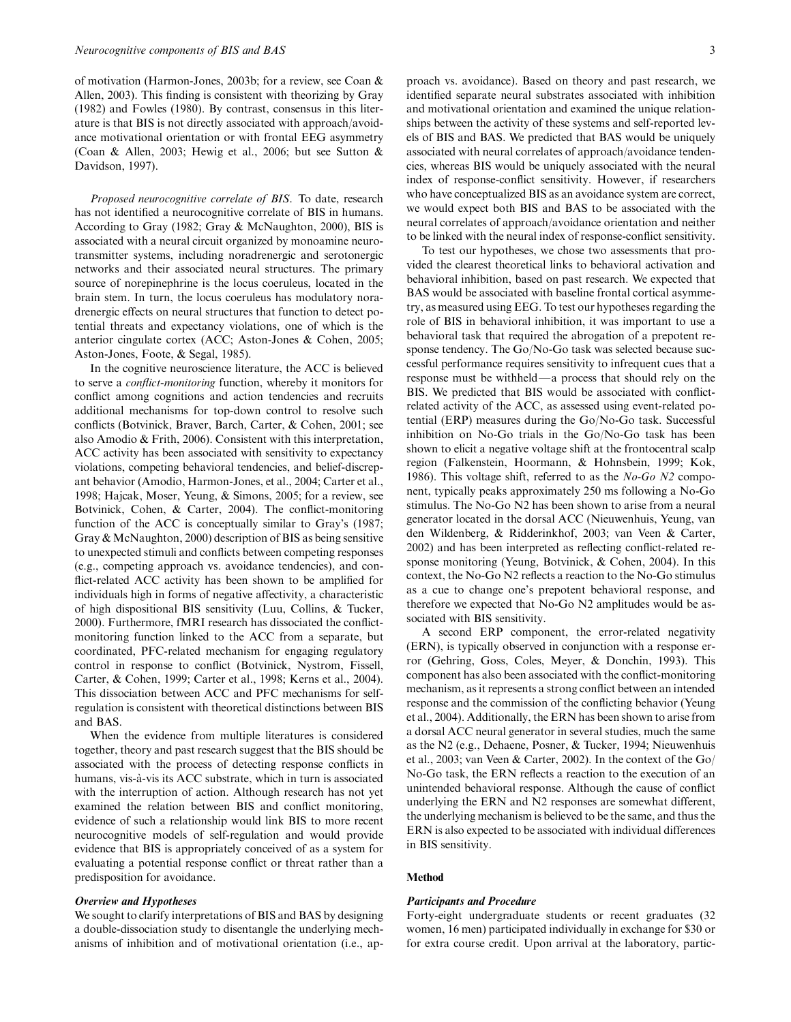of motivation (Harmon-Jones, 2003b; for a review, see Coan & Allen, 2003). This finding is consistent with theorizing by Gray (1982) and Fowles (1980). By contrast, consensus in this literature is that BIS is not directly associated with approach/avoidance motivational orientation or with frontal EEG asymmetry (Coan & Allen, 2003; Hewig et al., 2006; but see Sutton & Davidson, 1997).

Proposed neurocognitive correlate of BIS. To date, research has not identified a neurocognitive correlate of BIS in humans. According to Gray (1982; Gray & McNaughton, 2000), BIS is associated with a neural circuit organized by monoamine neurotransmitter systems, including noradrenergic and serotonergic networks and their associated neural structures. The primary source of norepinephrine is the locus coeruleus, located in the brain stem. In turn, the locus coeruleus has modulatory noradrenergic effects on neural structures that function to detect potential threats and expectancy violations, one of which is the anterior cingulate cortex (ACC; Aston-Jones & Cohen, 2005; Aston-Jones, Foote, & Segal, 1985).

In the cognitive neuroscience literature, the ACC is believed to serve a conflict-monitoring function, whereby it monitors for conflict among cognitions and action tendencies and recruits additional mechanisms for top-down control to resolve such conflicts (Botvinick, Braver, Barch, Carter, & Cohen, 2001; see also Amodio & Frith, 2006). Consistent with this interpretation, ACC activity has been associated with sensitivity to expectancy violations, competing behavioral tendencies, and belief-discrepant behavior (Amodio, Harmon-Jones, et al., 2004; Carter et al., 1998; Hajcak, Moser, Yeung, & Simons, 2005; for a review, see Botvinick, Cohen, & Carter, 2004). The conflict-monitoring function of the ACC is conceptually similar to Gray's (1987; Gray & McNaughton, 2000) description of BIS as being sensitive to unexpected stimuli and conflicts between competing responses (e.g., competing approach vs. avoidance tendencies), and conflict-related ACC activity has been shown to be amplified for individuals high in forms of negative affectivity, a characteristic of high dispositional BIS sensitivity (Luu, Collins, & Tucker, 2000). Furthermore, fMRI research has dissociated the conflictmonitoring function linked to the ACC from a separate, but coordinated, PFC-related mechanism for engaging regulatory control in response to conflict (Botvinick, Nystrom, Fissell, Carter, & Cohen, 1999; Carter et al., 1998; Kerns et al., 2004). This dissociation between ACC and PFC mechanisms for selfregulation is consistent with theoretical distinctions between BIS and BAS.

When the evidence from multiple literatures is considered together, theory and past research suggest that the BIS should be associated with the process of detecting response conflicts in humans, vis-à-vis its ACC substrate, which in turn is associated with the interruption of action. Although research has not yet examined the relation between BIS and conflict monitoring, evidence of such a relationship would link BIS to more recent neurocognitive models of self-regulation and would provide evidence that BIS is appropriately conceived of as a system for evaluating a potential response conflict or threat rather than a predisposition for avoidance.

## Overview and Hypotheses

We sought to clarify interpretations of BIS and BAS by designing a double-dissociation study to disentangle the underlying mechanisms of inhibition and of motivational orientation (i.e., approach vs. avoidance). Based on theory and past research, we identified separate neural substrates associated with inhibition and motivational orientation and examined the unique relationships between the activity of these systems and self-reported levels of BIS and BAS. We predicted that BAS would be uniquely associated with neural correlates of approach/avoidance tendencies, whereas BIS would be uniquely associated with the neural index of response-conflict sensitivity. However, if researchers who have conceptualized BIS as an avoidance system are correct, we would expect both BIS and BAS to be associated with the neural correlates of approach/avoidance orientation and neither to be linked with the neural index of response-conflict sensitivity.

To test our hypotheses, we chose two assessments that provided the clearest theoretical links to behavioral activation and behavioral inhibition, based on past research. We expected that BAS would be associated with baseline frontal cortical asymmetry, as measured using EEG. To test our hypotheses regarding the role of BIS in behavioral inhibition, it was important to use a behavioral task that required the abrogation of a prepotent response tendency. The Go/No-Go task was selected because successful performance requires sensitivity to infrequent cues that a response must be withheld—a process that should rely on the BIS. We predicted that BIS would be associated with conflictrelated activity of the ACC, as assessed using event-related potential (ERP) measures during the Go/No-Go task. Successful inhibition on No-Go trials in the Go/No-Go task has been shown to elicit a negative voltage shift at the frontocentral scalp region (Falkenstein, Hoormann, & Hohnsbein, 1999; Kok, 1986). This voltage shift, referred to as the  $No-Go$  N2 component, typically peaks approximately 250 ms following a No-Go stimulus. The No-Go N2 has been shown to arise from a neural generator located in the dorsal ACC (Nieuwenhuis, Yeung, van den Wildenberg, & Ridderinkhof, 2003; van Veen & Carter, 2002) and has been interpreted as reflecting conflict-related response monitoring (Yeung, Botvinick, & Cohen, 2004). In this context, the No-Go N2 reflects a reaction to the No-Go stimulus as a cue to change one's prepotent behavioral response, and therefore we expected that No-Go N2 amplitudes would be associated with BIS sensitivity.

A second ERP component, the error-related negativity (ERN), is typically observed in conjunction with a response error (Gehring, Goss, Coles, Meyer, & Donchin, 1993). This component has also been associated with the conflict-monitoring mechanism, as it represents a strong conflict between an intended response and the commission of the conflicting behavior (Yeung et al., 2004). Additionally, the ERN has been shown to arise from a dorsal ACC neural generator in several studies, much the same as the N2 (e.g., Dehaene, Posner, & Tucker, 1994; Nieuwenhuis et al., 2003; van Veen & Carter, 2002). In the context of the Go/ No-Go task, the ERN reflects a reaction to the execution of an unintended behavioral response. Although the cause of conflict underlying the ERN and N2 responses are somewhat different, the underlying mechanism is believed to be the same, and thus the ERN is also expected to be associated with individual differences in BIS sensitivity.

#### Method

#### Participants and Procedure

Forty-eight undergraduate students or recent graduates (32 women, 16 men) participated individually in exchange for \$30 or for extra course credit. Upon arrival at the laboratory, partic-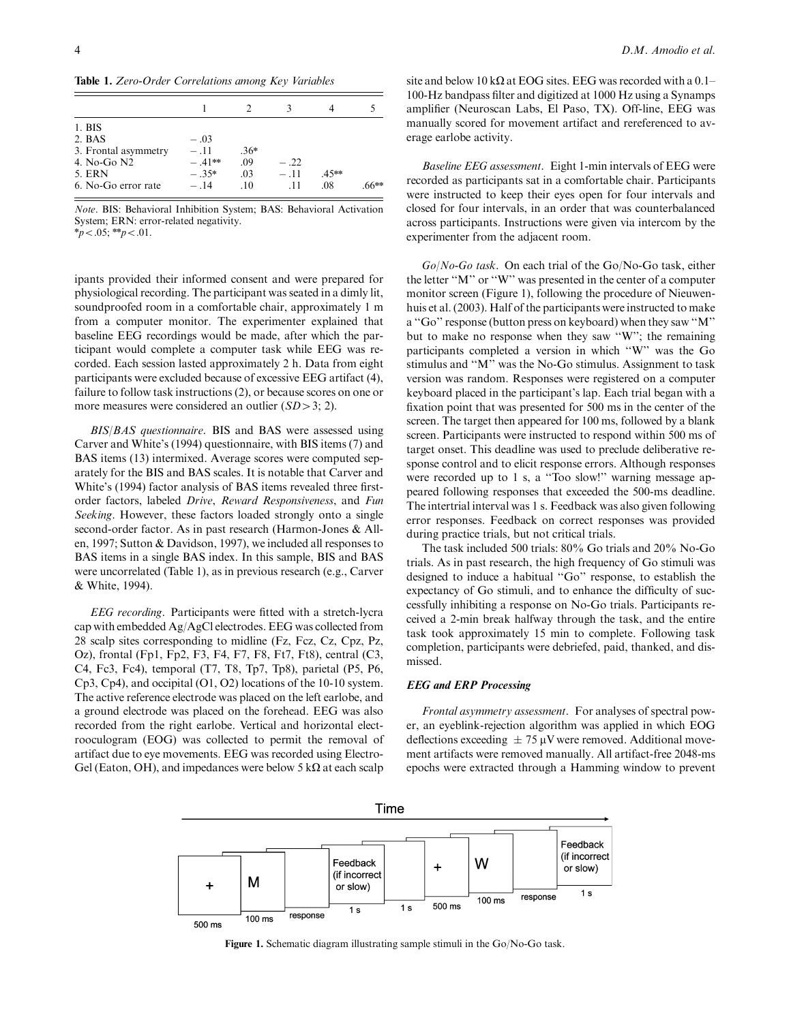Table 1. Zero-Order Correlations among Key Variables

| 1. <b>BIS</b><br>2. <b>BAS</b><br>3. Frontal asymmetry | $-.03$<br>$-.11$<br>$-41**$ | $.36*$            |                         |                 |         |
|--------------------------------------------------------|-----------------------------|-------------------|-------------------------|-----------------|---------|
| 4. No-Go N2<br><b>5. ERN</b><br>6. No-Go error rate    | $-.35*$<br>$-14$            | .09<br>.03<br>.10 | $-.22$<br>$-.11$<br>.11 | $.45***$<br>.08 | $66***$ |

Note. BIS: Behavioral Inhibition System; BAS: Behavioral Activation System; ERN: error-related negativity.

 $np < 0.05$ ;  $mp < 0.01$ .

ipants provided their informed consent and were prepared for physiological recording. The participant was seated in a dimly lit, soundproofed room in a comfortable chair, approximately 1 m from a computer monitor. The experimenter explained that baseline EEG recordings would be made, after which the participant would complete a computer task while EEG was recorded. Each session lasted approximately 2 h. Data from eight participants were excluded because of excessive EEG artifact (4), failure to follow task instructions (2), or because scores on one or more measures were considered an outlier  $(SD>3; 2)$ .

BIS/BAS questionnaire. BIS and BAS were assessed using Carver and White's (1994) questionnaire, with BIS items (7) and BAS items (13) intermixed. Average scores were computed separately for the BIS and BAS scales. It is notable that Carver and White's (1994) factor analysis of BAS items revealed three firstorder factors, labeled Drive, Reward Responsiveness, and Fun Seeking. However, these factors loaded strongly onto a single second-order factor. As in past research (Harmon-Jones & Allen, 1997; Sutton & Davidson, 1997), we included all responses to BAS items in a single BAS index. In this sample, BIS and BAS were uncorrelated (Table 1), as in previous research (e.g., Carver & White, 1994).

EEG recording. Participants were fitted with a stretch-lycra cap with embedded Ag/AgCl electrodes. EEG was collected from 28 scalp sites corresponding to midline (Fz, Fcz, Cz, Cpz, Pz, Oz), frontal (Fp1, Fp2, F3, F4, F7, F8, Ft7, Ft8), central (C3, C4, Fc3, Fc4), temporal (T7, T8, Tp7, Tp8), parietal (P5, P6, Cp3, Cp4), and occipital (O1, O2) locations of the 10-10 system. The active reference electrode was placed on the left earlobe, and a ground electrode was placed on the forehead. EEG was also recorded from the right earlobe. Vertical and horizontal electrooculogram (EOG) was collected to permit the removal of artifact due to eye movements. EEG was recorded using Electro-Gel (Eaton, OH), and impedances were below 5 k $\Omega$  at each scalp

site and below 10 k $\Omega$  at EOG sites. EEG was recorded with a 0.1– 100-Hz bandpass filter and digitized at 1000 Hz using a Synamps amplifier (Neuroscan Labs, El Paso, TX). Off-line, EEG was manually scored for movement artifact and rereferenced to average earlobe activity.

Baseline EEG assessment. Eight 1-min intervals of EEG were recorded as participants sat in a comfortable chair. Participants were instructed to keep their eyes open for four intervals and closed for four intervals, in an order that was counterbalanced across participants. Instructions were given via intercom by the experimenter from the adjacent room.

Go/No-Go task. On each trial of the Go/No-Go task, either the letter ''M'' or ''W'' was presented in the center of a computer monitor screen (Figure 1), following the procedure of Nieuwenhuis et al. (2003). Half of the participants were instructed to make a ''Go'' response (button press on keyboard) when they saw ''M'' but to make no response when they saw ''W''; the remaining participants completed a version in which ''W'' was the Go stimulus and ''M'' was the No-Go stimulus. Assignment to task version was random. Responses were registered on a computer keyboard placed in the participant's lap. Each trial began with a fixation point that was presented for 500 ms in the center of the screen. The target then appeared for 100 ms, followed by a blank screen. Participants were instructed to respond within 500 ms of target onset. This deadline was used to preclude deliberative response control and to elicit response errors. Although responses were recorded up to 1 s, a "Too slow!" warning message appeared following responses that exceeded the 500-ms deadline. The intertrial interval was 1 s. Feedback was also given following error responses. Feedback on correct responses was provided during practice trials, but not critical trials.

The task included 500 trials: 80% Go trials and 20% No-Go trials. As in past research, the high frequency of Go stimuli was designed to induce a habitual ''Go'' response, to establish the expectancy of Go stimuli, and to enhance the difficulty of successfully inhibiting a response on No-Go trials. Participants received a 2-min break halfway through the task, and the entire task took approximately 15 min to complete. Following task completion, participants were debriefed, paid, thanked, and dismissed.

## EEG and ERP Processing

Frontal asymmetry assessment. For analyses of spectral power, an eyeblink-rejection algorithm was applied in which EOG deflections exceeding  $\pm$  75  $\mu$ V were removed. Additional movement artifacts were removed manually. All artifact-free 2048-ms epochs were extracted through a Hamming window to prevent



Figure 1. Schematic diagram illustrating sample stimuli in the Go/No-Go task.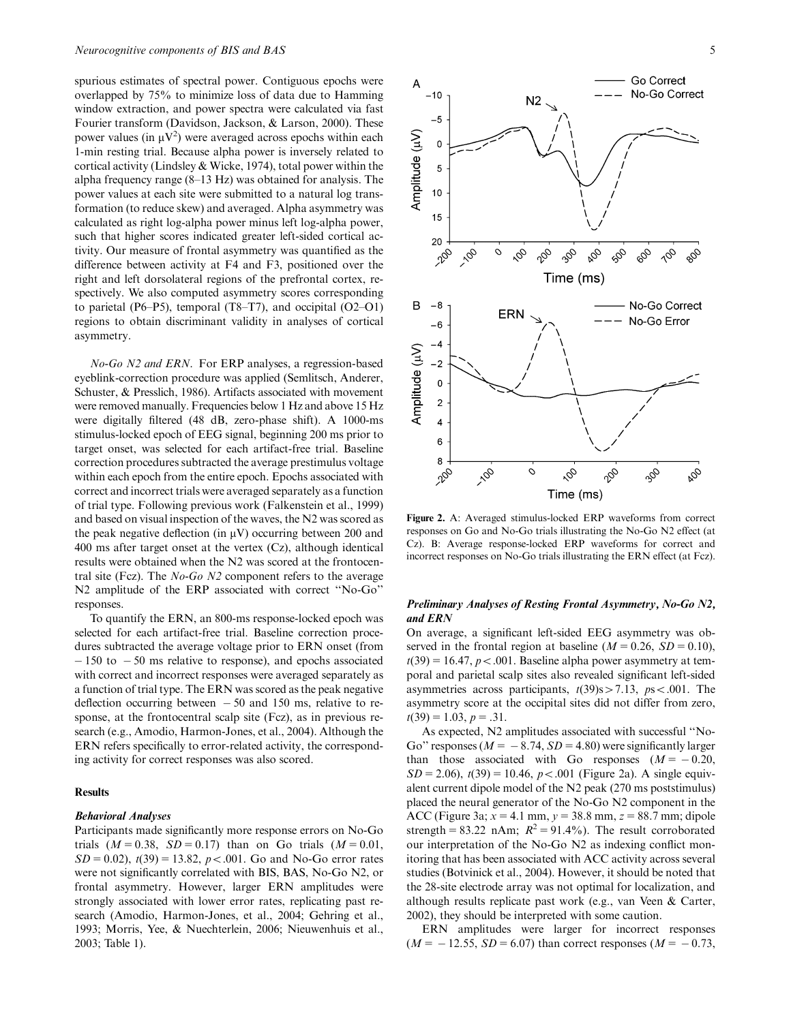spurious estimates of spectral power. Contiguous epochs were overlapped by 75% to minimize loss of data due to Hamming window extraction, and power spectra were calculated via fast Fourier transform (Davidson, Jackson, & Larson, 2000). These power values (in  $\mu V^2$ ) were averaged across epochs within each 1-min resting trial. Because alpha power is inversely related to cortical activity (Lindsley & Wicke, 1974), total power within the alpha frequency range (8–13 Hz) was obtained for analysis. The power values at each site were submitted to a natural log transformation (to reduce skew) and averaged. Alpha asymmetry was calculated as right log-alpha power minus left log-alpha power, such that higher scores indicated greater left-sided cortical activity. Our measure of frontal asymmetry was quantified as the difference between activity at F4 and F3, positioned over the right and left dorsolateral regions of the prefrontal cortex, respectively. We also computed asymmetry scores corresponding to parietal (P6–P5), temporal (T8–T7), and occipital (O2–O1) regions to obtain discriminant validity in analyses of cortical asymmetry.

No-Go N2 and ERN. For ERP analyses, a regression-based eyeblink-correction procedure was applied (Semlitsch, Anderer, Schuster, & Presslich, 1986). Artifacts associated with movement were removed manually. Frequencies below 1 Hz and above 15 Hz were digitally filtered (48 dB, zero-phase shift). A 1000-ms stimulus-locked epoch of EEG signal, beginning 200 ms prior to target onset, was selected for each artifact-free trial. Baseline correction procedures subtracted the average prestimulus voltage within each epoch from the entire epoch. Epochs associated with correct and incorrect trials were averaged separately as a function of trial type. Following previous work (Falkenstein et al., 1999) and based on visual inspection of the waves, the N2 was scored as the peak negative deflection (in  $\mu$ V) occurring between 200 and 400 ms after target onset at the vertex (Cz), although identical results were obtained when the N2 was scored at the frontocentral site (Fcz). The No-Go N2 component refers to the average N2 amplitude of the ERP associated with correct ''No-Go'' responses.

To quantify the ERN, an 800-ms response-locked epoch was selected for each artifact-free trial. Baseline correction procedures subtracted the average voltage prior to ERN onset (from  $-150$  to  $-50$  ms relative to response), and epochs associated with correct and incorrect responses were averaged separately as a function of trial type. The ERN was scored as the peak negative deflection occurring between  $-50$  and 150 ms, relative to response, at the frontocentral scalp site (Fcz), as in previous research (e.g., Amodio, Harmon-Jones, et al., 2004). Although the ERN refers specifically to error-related activity, the corresponding activity for correct responses was also scored.

## Results

### Behavioral Analyses

Participants made significantly more response errors on No-Go trials  $(M = 0.38, SD = 0.17)$  than on Go trials  $(M = 0.01,$  $SD = 0.02$ ,  $t(39) = 13.82$ ,  $p < .001$ . Go and No-Go error rates were not significantly correlated with BIS, BAS, No-Go N2, or frontal asymmetry. However, larger ERN amplitudes were strongly associated with lower error rates, replicating past research (Amodio, Harmon-Jones, et al., 2004; Gehring et al., 1993; Morris, Yee, & Nuechterlein, 2006; Nieuwenhuis et al., 2003; Table 1).



Figure 2. A: Averaged stimulus-locked ERP waveforms from correct responses on Go and No-Go trials illustrating the No-Go N2 effect (at Cz). B: Average response-locked ERP waveforms for correct and incorrect responses on No-Go trials illustrating the ERN effect (at Fcz).

# Preliminary Analyses of Resting Frontal Asymmetry, No-Go N2, and ERN

On average, a significant left-sided EEG asymmetry was observed in the frontal region at baseline ( $M = 0.26$ ,  $SD = 0.10$ ),  $t(39) = 16.47$ ,  $p < .001$ . Baseline alpha power asymmetry at temporal and parietal scalp sites also revealed significant left-sided asymmetries across participants,  $t(39)$ s > 7.13,  $ps < .001$ . The asymmetry score at the occipital sites did not differ from zero,  $t(39) = 1.03, p = .31.$ 

As expected, N2 amplitudes associated with successful ''No-Go" responses ( $M = -8.74$ ,  $SD = 4.80$ ) were significantly larger than those associated with Go responses  $(M = -0.20,$  $SD = 2.06$ ,  $t(39) = 10.46$ ,  $p < .001$  (Figure 2a). A single equivalent current dipole model of the N2 peak (270 ms poststimulus) placed the neural generator of the No-Go N2 component in the ACC (Figure 3a;  $x = 4.1$  mm,  $y = 38.8$  mm,  $z = 88.7$  mm; dipole strength = 83.22 nAm;  $R^2$  = 91.4%). The result corroborated our interpretation of the No-Go N2 as indexing conflict monitoring that has been associated with ACC activity across several studies (Botvinick et al., 2004). However, it should be noted that the 28-site electrode array was not optimal for localization, and although results replicate past work (e.g., van Veen & Carter, 2002), they should be interpreted with some caution.

ERN amplitudes were larger for incorrect responses  $(M = -12.55, SD = 6.07)$  than correct responses  $(M = -0.73,$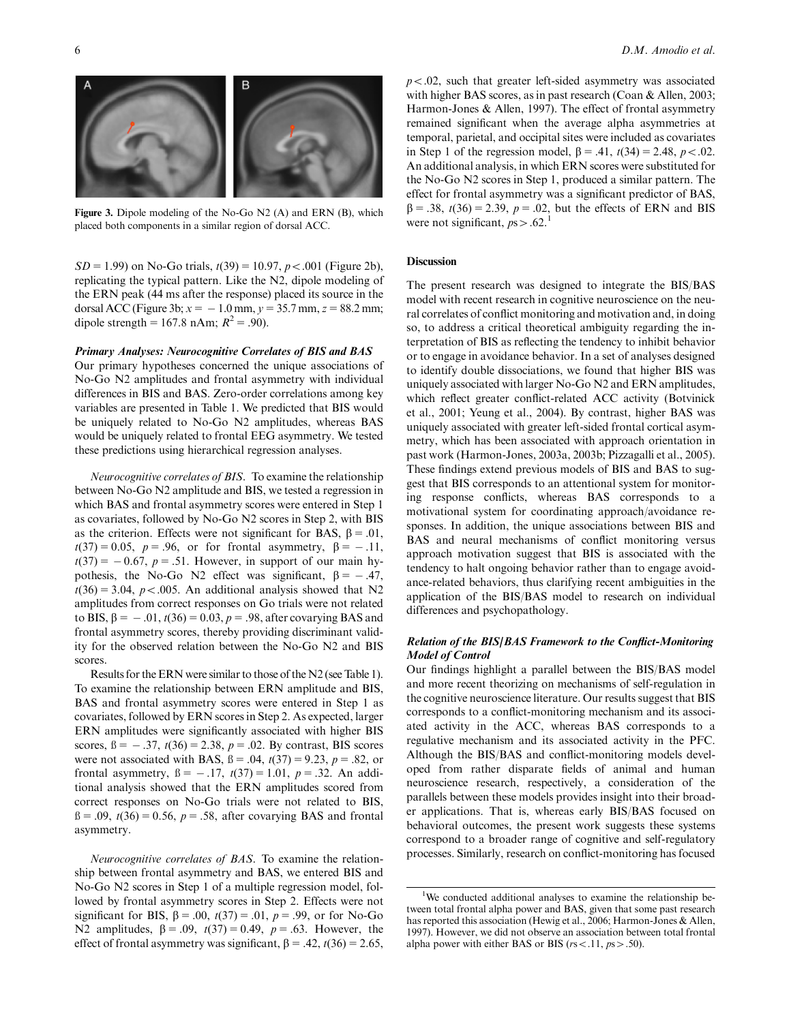

Figure 3. Dipole modeling of the No-Go N2 (A) and ERN (B), which placed both components in a similar region of dorsal ACC.

 $SD = 1.99$ ) on No-Go trials,  $t(39) = 10.97$ ,  $p < .001$  (Figure 2b), replicating the typical pattern. Like the N2, dipole modeling of the ERN peak (44 ms after the response) placed its source in the dorsal ACC (Figure 3b;  $x = -1.0$  mm,  $y = 35.7$  mm,  $z = 88.2$  mm; dipole strength = 167.8 nAm;  $R^2$  = .90).

#### Primary Analyses: Neurocognitive Correlates of BIS and BAS

Our primary hypotheses concerned the unique associations of No-Go N2 amplitudes and frontal asymmetry with individual differences in BIS and BAS. Zero-order correlations among key variables are presented in Table 1. We predicted that BIS would be uniquely related to No-Go N2 amplitudes, whereas BAS would be uniquely related to frontal EEG asymmetry. We tested these predictions using hierarchical regression analyses.

Neurocognitive correlates of BIS. To examine the relationship between No-Go N2 amplitude and BIS, we tested a regression in which BAS and frontal asymmetry scores were entered in Step 1 as covariates, followed by No-Go N2 scores in Step 2, with BIS as the criterion. Effects were not significant for BAS,  $\beta = .01$ ,  $t(37) = 0.05$ ,  $p = .96$ , or for frontal asymmetry,  $\beta = -.11$ ,  $t(37) = -0.67$ ,  $p = .51$ . However, in support of our main hypothesis, the No-Go N2 effect was significant,  $\beta = -0.47$ ,  $t(36) = 3.04$ ,  $p < .005$ . An additional analysis showed that N2 amplitudes from correct responses on Go trials were not related to BIS,  $\beta = -0.01$ ,  $t(36) = 0.03$ ,  $p = 0.98$ , after covarying BAS and frontal asymmetry scores, thereby providing discriminant validity for the observed relation between the No-Go N2 and BIS scores.

Results for the ERN were similar to those of the N2 (see Table 1). To examine the relationship between ERN amplitude and BIS, BAS and frontal asymmetry scores were entered in Step 1 as covariates, followed by ERN scores in Step 2. As expected, larger ERN amplitudes were significantly associated with higher BIS scores,  $\beta = -.37$ ,  $t(36) = 2.38$ ,  $p = .02$ . By contrast, BIS scores were not associated with BAS,  $\beta = .04$ ,  $t(37) = 9.23$ ,  $p = .82$ , or frontal asymmetry,  $\beta = -.17$ ,  $t(37) = 1.01$ ,  $p = .32$ . An additional analysis showed that the ERN amplitudes scored from correct responses on No-Go trials were not related to BIS,  $6 = .09$ ,  $t(36) = 0.56$ ,  $p = .58$ , after covarying BAS and frontal asymmetry.

Neurocognitive correlates of BAS. To examine the relationship between frontal asymmetry and BAS, we entered BIS and No-Go N2 scores in Step 1 of a multiple regression model, followed by frontal asymmetry scores in Step 2. Effects were not significant for BIS,  $\beta$  = .00,  $t(37)$  = .01,  $p$  = .99, or for No-Go N2 amplitudes,  $\beta = .09$ ,  $t(37) = 0.49$ ,  $p = .63$ . However, the effect of frontal asymmetry was significant,  $\beta = .42$ ,  $t(36) = 2.65$ ,  $p<.02$ , such that greater left-sided asymmetry was associated with higher BAS scores, as in past research (Coan & Allen, 2003; Harmon-Jones & Allen, 1997). The effect of frontal asymmetry remained significant when the average alpha asymmetries at temporal, parietal, and occipital sites were included as covariates in Step 1 of the regression model,  $\beta = .41$ ,  $t(34) = 2.48$ ,  $p < .02$ . An additional analysis, in which ERN scores were substituted for the No-Go N2 scores in Step 1, produced a similar pattern. The effect for frontal asymmetry was a significant predictor of BAS,  $\beta = .38$ ,  $t(36) = 2.39$ ,  $p = .02$ , but the effects of ERN and BIS were not significant,  $ps > .62$ <sup>1</sup>

#### **Discussion**

The present research was designed to integrate the BIS/BAS model with recent research in cognitive neuroscience on the neural correlates of conflict monitoring and motivation and, in doing so, to address a critical theoretical ambiguity regarding the interpretation of BIS as reflecting the tendency to inhibit behavior or to engage in avoidance behavior. In a set of analyses designed to identify double dissociations, we found that higher BIS was uniquely associated with larger No-Go N2 and ERN amplitudes, which reflect greater conflict-related ACC activity (Botvinick et al., 2001; Yeung et al., 2004). By contrast, higher BAS was uniquely associated with greater left-sided frontal cortical asymmetry, which has been associated with approach orientation in past work (Harmon-Jones, 2003a, 2003b; Pizzagalli et al., 2005). These findings extend previous models of BIS and BAS to suggest that BIS corresponds to an attentional system for monitoring response conflicts, whereas BAS corresponds to a motivational system for coordinating approach/avoidance responses. In addition, the unique associations between BIS and BAS and neural mechanisms of conflict monitoring versus approach motivation suggest that BIS is associated with the tendency to halt ongoing behavior rather than to engage avoidance-related behaviors, thus clarifying recent ambiguities in the application of the BIS/BAS model to research on individual differences and psychopathology.

## Relation of the BIS/BAS Framework to the Conflict-Monitoring Model of Control

Our findings highlight a parallel between the BIS/BAS model and more recent theorizing on mechanisms of self-regulation in the cognitive neuroscience literature. Our results suggest that BIS corresponds to a conflict-monitoring mechanism and its associated activity in the ACC, whereas BAS corresponds to a regulative mechanism and its associated activity in the PFC. Although the BIS/BAS and conflict-monitoring models developed from rather disparate fields of animal and human neuroscience research, respectively, a consideration of the parallels between these models provides insight into their broader applications. That is, whereas early BIS/BAS focused on behavioral outcomes, the present work suggests these systems correspond to a broader range of cognitive and self-regulatory processes. Similarly, research on conflict-monitoring has focused

<sup>&</sup>lt;sup>1</sup>We conducted additional analyses to examine the relationship between total frontal alpha power and BAS, given that some past research has reported this association (Hewig et al., 2006; Harmon-Jones & Allen, 1997). However, we did not observe an association between total frontal alpha power with either BAS or BIS ( $rs < 11$ ,  $ps > .50$ ).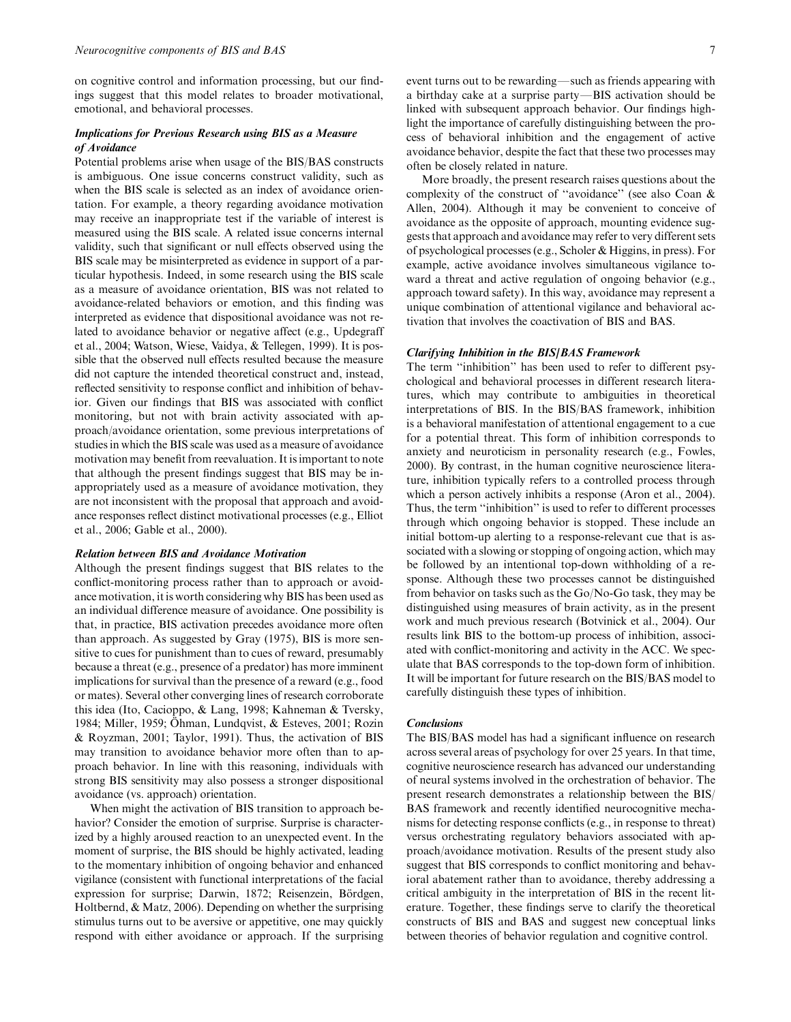on cognitive control and information processing, but our findings suggest that this model relates to broader motivational, emotional, and behavioral processes.

# Implications for Previous Research using BIS as a Measure of Avoidance

Potential problems arise when usage of the BIS/BAS constructs is ambiguous. One issue concerns construct validity, such as when the BIS scale is selected as an index of avoidance orientation. For example, a theory regarding avoidance motivation may receive an inappropriate test if the variable of interest is measured using the BIS scale. A related issue concerns internal validity, such that significant or null effects observed using the BIS scale may be misinterpreted as evidence in support of a particular hypothesis. Indeed, in some research using the BIS scale as a measure of avoidance orientation, BIS was not related to avoidance-related behaviors or emotion, and this finding was interpreted as evidence that dispositional avoidance was not related to avoidance behavior or negative affect (e.g., Updegraff et al., 2004; Watson, Wiese, Vaidya, & Tellegen, 1999). It is possible that the observed null effects resulted because the measure did not capture the intended theoretical construct and, instead, reflected sensitivity to response conflict and inhibition of behavior. Given our findings that BIS was associated with conflict monitoring, but not with brain activity associated with approach/avoidance orientation, some previous interpretations of studies in which the BIS scale was used as a measure of avoidance motivation may benefit from reevaluation. It is important to note that although the present findings suggest that BIS may be inappropriately used as a measure of avoidance motivation, they are not inconsistent with the proposal that approach and avoidance responses reflect distinct motivational processes (e.g., Elliot et al., 2006; Gable et al., 2000).

#### Relation between BIS and Avoidance Motivation

Although the present findings suggest that BIS relates to the conflict-monitoring process rather than to approach or avoidance motivation, it is worth considering why BIS has been used as an individual difference measure of avoidance. One possibility is that, in practice, BIS activation precedes avoidance more often than approach. As suggested by Gray (1975), BIS is more sensitive to cues for punishment than to cues of reward, presumably because a threat (e.g., presence of a predator) has more imminent implications for survival than the presence of a reward (e.g., food or mates). Several other converging lines of research corroborate this idea (Ito, Cacioppo, & Lang, 1998; Kahneman & Tversky, 1984; Miller, 1959; Öhman, Lundqvist, & Esteves, 2001; Rozin & Royzman, 2001; Taylor, 1991). Thus, the activation of BIS may transition to avoidance behavior more often than to approach behavior. In line with this reasoning, individuals with strong BIS sensitivity may also possess a stronger dispositional avoidance (vs. approach) orientation.

When might the activation of BIS transition to approach behavior? Consider the emotion of surprise. Surprise is characterized by a highly aroused reaction to an unexpected event. In the moment of surprise, the BIS should be highly activated, leading to the momentary inhibition of ongoing behavior and enhanced vigilance (consistent with functional interpretations of the facial expression for surprise; Darwin, 1872; Reisenzein, Bördgen, Holtbernd, & Matz, 2006). Depending on whether the surprising stimulus turns out to be aversive or appetitive, one may quickly respond with either avoidance or approach. If the surprising event turns out to be rewarding—such as friends appearing with a birthday cake at a surprise party—BIS activation should be linked with subsequent approach behavior. Our findings highlight the importance of carefully distinguishing between the process of behavioral inhibition and the engagement of active avoidance behavior, despite the fact that these two processes may often be closely related in nature.

More broadly, the present research raises questions about the complexity of the construct of ''avoidance'' (see also Coan & Allen, 2004). Although it may be convenient to conceive of avoidance as the opposite of approach, mounting evidence suggests that approach and avoidance may refer to very different sets of psychological processes (e.g., Scholer & Higgins, in press). For example, active avoidance involves simultaneous vigilance toward a threat and active regulation of ongoing behavior (e.g., approach toward safety). In this way, avoidance may represent a unique combination of attentional vigilance and behavioral activation that involves the coactivation of BIS and BAS.

# Clarifying Inhibition in the BIS/BAS Framework

The term ''inhibition'' has been used to refer to different psychological and behavioral processes in different research literatures, which may contribute to ambiguities in theoretical interpretations of BIS. In the BIS/BAS framework, inhibition is a behavioral manifestation of attentional engagement to a cue for a potential threat. This form of inhibition corresponds to anxiety and neuroticism in personality research (e.g., Fowles, 2000). By contrast, in the human cognitive neuroscience literature, inhibition typically refers to a controlled process through which a person actively inhibits a response (Aron et al., 2004). Thus, the term ''inhibition'' is used to refer to different processes through which ongoing behavior is stopped. These include an initial bottom-up alerting to a response-relevant cue that is associated with a slowing or stopping of ongoing action, which may be followed by an intentional top-down withholding of a response. Although these two processes cannot be distinguished from behavior on tasks such as the Go/No-Go task, they may be distinguished using measures of brain activity, as in the present work and much previous research (Botvinick et al., 2004). Our results link BIS to the bottom-up process of inhibition, associated with conflict-monitoring and activity in the ACC. We speculate that BAS corresponds to the top-down form of inhibition. It will be important for future research on the BIS/BAS model to carefully distinguish these types of inhibition.

## **Conclusions**

The BIS/BAS model has had a significant influence on research across several areas of psychology for over 25 years. In that time, cognitive neuroscience research has advanced our understanding of neural systems involved in the orchestration of behavior. The present research demonstrates a relationship between the BIS/ BAS framework and recently identified neurocognitive mechanisms for detecting response conflicts (e.g., in response to threat) versus orchestrating regulatory behaviors associated with approach/avoidance motivation. Results of the present study also suggest that BIS corresponds to conflict monitoring and behavioral abatement rather than to avoidance, thereby addressing a critical ambiguity in the interpretation of BIS in the recent literature. Together, these findings serve to clarify the theoretical constructs of BIS and BAS and suggest new conceptual links between theories of behavior regulation and cognitive control.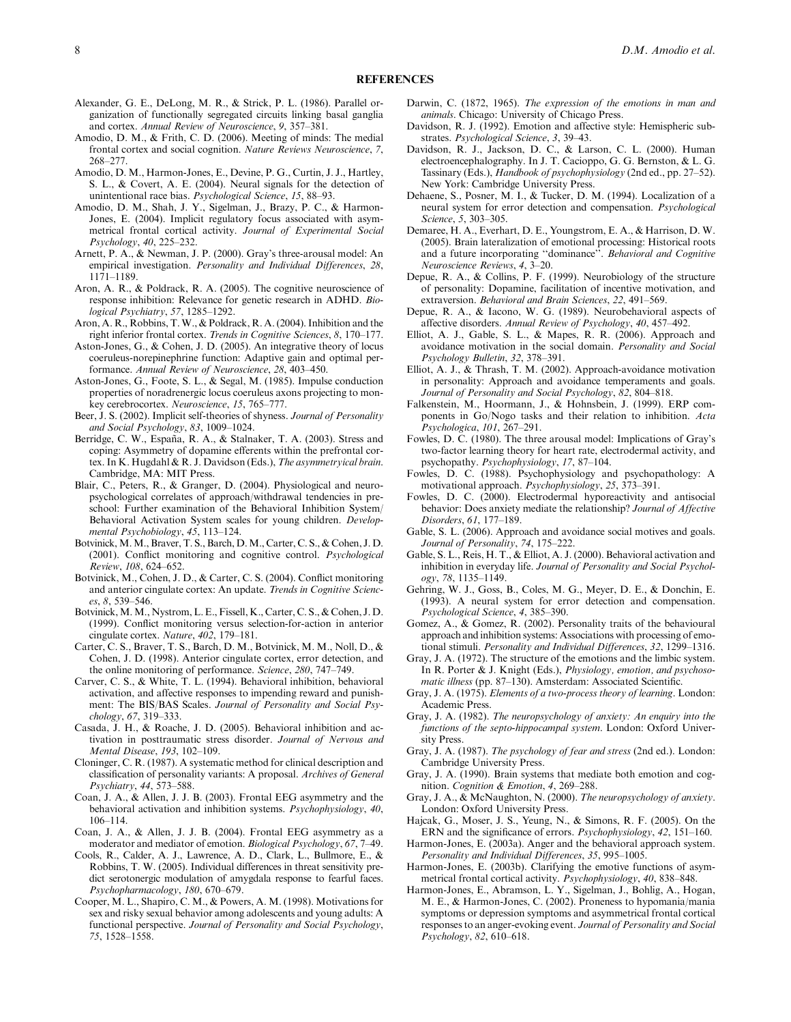- Alexander, G. E., DeLong, M. R., & Strick, P. L. (1986). Parallel organization of functionally segregated circuits linking basal ganglia and cortex. Annual Review of Neuroscience, 9, 357–381.
- Amodio, D. M., & Frith, C. D. (2006). Meeting of minds: The medial frontal cortex and social cognition. Nature Reviews Neuroscience, 7, 268–277.
- Amodio, D. M., Harmon-Jones, E., Devine, P. G., Curtin, J. J., Hartley, S. L., & Covert, A. E. (2004). Neural signals for the detection of unintentional race bias. Psychological Science, 15, 88–93.
- Amodio, D. M., Shah, J. Y., Sigelman, J., Brazy, P. C., & Harmon-Jones, E. (2004). Implicit regulatory focus associated with asymmetrical frontal cortical activity. Journal of Experimental Social Psychology, 40, 225–232.
- Arnett, P. A., & Newman, J. P. (2000). Gray's three-arousal model: An empirical investigation. Personality and Individual Differences, 28, 1171–1189.
- Aron, A. R., & Poldrack, R. A. (2005). The cognitive neuroscience of response inhibition: Relevance for genetic research in ADHD. Biological Psychiatry, 57, 1285–1292.
- Aron, A. R., Robbins, T. W., & Poldrack, R. A. (2004). Inhibition and the right inferior frontal cortex. Trends in Cognitive Sciences, 8, 170–177.
- Aston-Jones, G., & Cohen, J. D. (2005). An integrative theory of locus coeruleus-norepinephrine function: Adaptive gain and optimal performance. Annual Review of Neuroscience, 28, 403–450.
- Aston-Jones, G., Foote, S. L., & Segal, M. (1985). Impulse conduction properties of noradrenergic locus coeruleus axons projecting to monkey cerebrocortex. Neuroscience, 15, 765–777.
- Beer, J. S. (2002). Implicit self-theories of shyness. Journal of Personality and Social Psychology, 83, 1009–1024.
- Berridge, C. W., España, R. A., & Stalnaker, T. A. (2003). Stress and coping: Asymmetry of dopamine efferents within the prefrontal cortex. In K. Hugdahl & R. J. Davidson (Eds.), The asymmetryical brain. Cambridge, MA: MIT Press.
- Blair, C., Peters, R., & Granger, D. (2004). Physiological and neuropsychological correlates of approach/withdrawal tendencies in preschool: Further examination of the Behavioral Inhibition System/ Behavioral Activation System scales for young children. Developmental Psychobiology, 45, 113–124.
- Botvinick,M.M., Braver, T. S., Barch, D. M., Carter, C. S., & Cohen, J. D. (2001). Conflict monitoring and cognitive control. Psychological Review, 108, 624–652.
- Botvinick, M., Cohen, J. D., & Carter, C. S. (2004). Conflict monitoring and anterior cingulate cortex: An update. Trends in Cognitive Sciences, 8, 539–546.
- Botvinick,M.M., Nystrom, L. E., Fissell, K., Carter, C. S., & Cohen, J. D. (1999). Conflict monitoring versus selection-for-action in anterior cingulate cortex. Nature, 402, 179–181.
- Carter, C. S., Braver, T. S., Barch, D. M., Botvinick, M. M., Noll, D., & Cohen, J. D. (1998). Anterior cingulate cortex, error detection, and the online monitoring of performance. Science, 280, 747–749.
- Carver, C. S., & White, T. L. (1994). Behavioral inhibition, behavioral activation, and affective responses to impending reward and punishment: The BIS/BAS Scales. Journal of Personality and Social Psychology, 67, 319–333.
- Casada, J. H., & Roache, J. D. (2005). Behavioral inhibition and activation in posttraumatic stress disorder. Journal of Nervous and Mental Disease, 193, 102–109.
- Cloninger, C. R. (1987). A systematic method for clinical description and classification of personality variants: A proposal. Archives of General Psychiatry, 44, 573–588.
- Coan, J. A., & Allen, J. J. B. (2003). Frontal EEG asymmetry and the behavioral activation and inhibition systems. Psychophysiology, 40, 106–114.
- Coan, J. A., & Allen, J. J. B. (2004). Frontal EEG asymmetry as a moderator and mediator of emotion. Biological Psychology, 67, 7–49.
- Cools, R., Calder, A. J., Lawrence, A. D., Clark, L., Bullmore, E., & Robbins, T. W. (2005). Individual differences in threat sensitivity predict serotonergic modulation of amygdala response to fearful faces. Psychopharmacology, 180, 670–679.
- Cooper, M. L., Shapiro, C. M., & Powers, A. M. (1998). Motivations for sex and risky sexual behavior among adolescents and young adults: A functional perspective. Journal of Personality and Social Psychology, 75, 1528–1558.
- Darwin, C. (1872, 1965). The expression of the emotions in man and animals. Chicago: University of Chicago Press.
- Davidson, R. J. (1992). Emotion and affective style: Hemispheric substrates. Psychological Science, 3, 39–43.
- Davidson, R. J., Jackson, D. C., & Larson, C. L. (2000). Human electroencephalography. In J. T. Cacioppo, G. G. Bernston, & L. G. Tassinary (Eds.), Handbook of psychophysiology (2nd ed., pp. 27–52). New York: Cambridge University Press.
- Dehaene, S., Posner, M. I., & Tucker, D. M. (1994). Localization of a neural system for error detection and compensation. Psychological Science, 5, 303–305.
- Demaree, H. A., Everhart, D. E., Youngstrom, E. A., & Harrison, D. W. (2005). Brain lateralization of emotional processing: Historical roots and a future incorporating ''dominance''. Behavioral and Cognitive Neuroscience Reviews, 4, 3–20.
- Depue, R. A., & Collins, P. F. (1999). Neurobiology of the structure of personality: Dopamine, facilitation of incentive motivation, and extraversion. Behavioral and Brain Sciences, 22, 491–569.
- Depue, R. A., & Iacono, W. G. (1989). Neurobehavioral aspects of affective disorders. Annual Review of Psychology, 40, 457–492.
- Elliot, A. J., Gable, S. L., & Mapes, R. R. (2006). Approach and avoidance motivation in the social domain. Personality and Social Psychology Bulletin, 32, 378–391.
- Elliot, A. J., & Thrash, T. M. (2002). Approach-avoidance motivation in personality: Approach and avoidance temperaments and goals. Journal of Personality and Social Psychology, 82, 804-818.
- Falkenstein, M., Hoormann, J., & Hohnsbein, J. (1999). ERP components in Go/Nogo tasks and their relation to inhibition. Acta Psychologica, 101, 267–291.
- Fowles, D. C. (1980). The three arousal model: Implications of Gray's two-factor learning theory for heart rate, electrodermal activity, and psychopathy. Psychophysiology, 17, 87–104.
- Fowles, D. C. (1988). Psychophysiology and psychopathology: A motivational approach. Psychophysiology, 25, 373–391.
- Fowles, D. C. (2000). Electrodermal hyporeactivity and antisocial behavior: Does anxiety mediate the relationship? Journal of Affective Disorders, 61, 177–189.
- Gable, S. L. (2006). Approach and avoidance social motives and goals. Journal of Personality, 74, 175–222.
- Gable, S. L., Reis, H. T., & Elliot, A. J. (2000). Behavioral activation and inhibition in everyday life. Journal of Personality and Social Psychology, 78, 1135–1149.
- Gehring, W. J., Goss, B., Coles, M. G., Meyer, D. E., & Donchin, E. (1993). A neural system for error detection and compensation. Psychological Science, 4, 385–390.
- Gomez, A., & Gomez, R. (2002). Personality traits of the behavioural approach and inhibition systems: Associations with processing of emotional stimuli. Personality and Individual Differences, 32, 1299–1316.
- Gray, J. A. (1972). The structure of the emotions and the limbic system. In R. Porter & J. Knight (Eds.), Physiology, emotion, and psychosomatic illness (pp. 87–130). Amsterdam: Associated Scientific.
- Gray, J. A. (1975). Elements of a two-process theory of learning. London: Academic Press.
- Gray, J. A. (1982). The neuropsychology of anxiety: An enquiry into the functions of the septo-hippocampal system. London: Oxford University Press.
- Gray, J. A. (1987). The psychology of fear and stress (2nd ed.). London: Cambridge University Press.
- Gray, J. A. (1990). Brain systems that mediate both emotion and cognition. Cognition & Emotion, 4, 269–288.
- Gray, J. A., & McNaughton, N. (2000). The neuropsychology of anxiety. London: Oxford University Press.
- Hajcak, G., Moser, J. S., Yeung, N., & Simons, R. F. (2005). On the ERN and the significance of errors. Psychophysiology, 42, 151–160.
- Harmon-Jones, E. (2003a). Anger and the behavioral approach system. Personality and Individual Differences, 35, 995–1005.
- Harmon-Jones, E. (2003b). Clarifying the emotive functions of asymmetrical frontal cortical activity. Psychophysiology, 40, 838–848.
- Harmon-Jones, E., Abramson, L. Y., Sigelman, J., Bohlig, A., Hogan, M. E., & Harmon-Jones, C. (2002). Proneness to hypomania/mania symptoms or depression symptoms and asymmetrical frontal cortical responses to an anger-evoking event. Journal of Personality and Social Psychology, 82, 610–618.